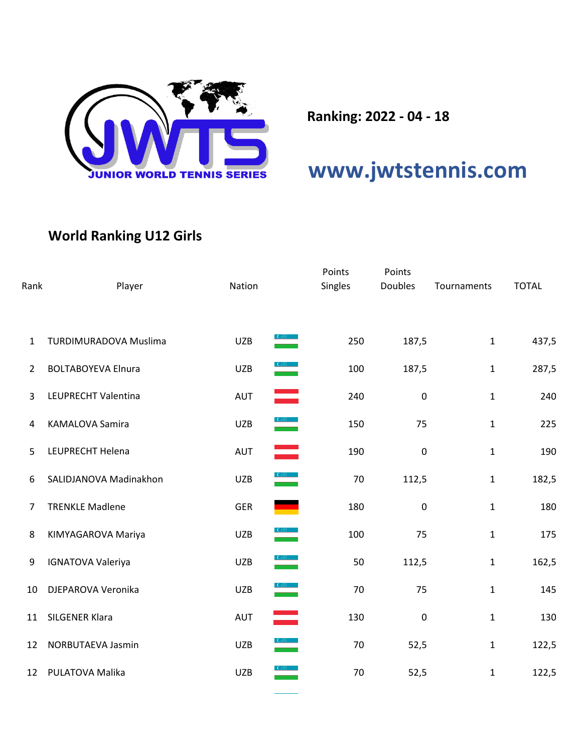

**Ranking: 2022 - 04 - 18**

## **[www.jwtstennis.com](http://www.jwtstennis.com/)**

## **World Ranking U12 Girls**

| Rank             | Player                       | Nation                                                                                                                                                                                                                                                                                                                                                            | Points<br>Singles | Points<br><b>Doubles</b> | Tournaments  | <b>TOTAL</b> |
|------------------|------------------------------|-------------------------------------------------------------------------------------------------------------------------------------------------------------------------------------------------------------------------------------------------------------------------------------------------------------------------------------------------------------------|-------------------|--------------------------|--------------|--------------|
| 1                | <b>TURDIMURADOVA Muslima</b> | <b>UZB</b>                                                                                                                                                                                                                                                                                                                                                        | 250               | 187,5                    | $\mathbf{1}$ | 437,5        |
| $\overline{2}$   | <b>BOLTABOYEVA Elnura</b>    | <b>UZB</b>                                                                                                                                                                                                                                                                                                                                                        | 100               | 187,5                    | $\mathbf{1}$ | 287,5        |
| 3                | LEUPRECHT Valentina          | ═<br><b>AUT</b>                                                                                                                                                                                                                                                                                                                                                   | 240               | $\pmb{0}$                | $\mathbf{1}$ | 240          |
| 4                | <b>KAMALOVA Samira</b>       | $\frac{C_{\text{eff}}}{\sqrt{2}}$<br><b>UZB</b>                                                                                                                                                                                                                                                                                                                   | 150               | 75                       | $\mathbf{1}$ | 225          |
| 5                | LEUPRECHT Helena             | ═<br><b>AUT</b>                                                                                                                                                                                                                                                                                                                                                   | 190               | $\mathbf 0$              | $\mathbf{1}$ | 190          |
| 6                | SALIDJANOVA Madinakhon       | $\frac{1}{2}$<br><b>UZB</b>                                                                                                                                                                                                                                                                                                                                       | 70                | 112,5                    | $\mathbf{1}$ | 182,5        |
| $\overline{7}$   | <b>TRENKLE Madlene</b>       | <b>GER</b>                                                                                                                                                                                                                                                                                                                                                        | 180               | $\pmb{0}$                | $\mathbf{1}$ | 180          |
| 8                | KIMYAGAROVA Mariya           | <b>UZB</b>                                                                                                                                                                                                                                                                                                                                                        | 100               | 75                       | $\mathbf{1}$ | 175          |
| $\boldsymbol{9}$ | <b>IGNATOVA Valeriya</b>     | $\frac{1}{2}$<br><b>UZB</b>                                                                                                                                                                                                                                                                                                                                       | 50                | 112,5                    | $\mathbf{1}$ | 162,5        |
| 10               | DJEPAROVA Veronika           | $\begin{picture}(20,20) \put(0,0){\line(1,0){10}} \put(15,0){\line(1,0){10}} \put(15,0){\line(1,0){10}} \put(15,0){\line(1,0){10}} \put(15,0){\line(1,0){10}} \put(15,0){\line(1,0){10}} \put(15,0){\line(1,0){10}} \put(15,0){\line(1,0){10}} \put(15,0){\line(1,0){10}} \put(15,0){\line(1,0){10}} \put(15,0){\line(1,0){10}} \put(15,0){\line(1$<br><b>UZB</b> | 70                | 75                       | $\mathbf{1}$ | 145          |
| 11               | SILGENER Klara               | <b>AUT</b>                                                                                                                                                                                                                                                                                                                                                        | 130               | $\pmb{0}$                | $\mathbf{1}$ | 130          |
| 12               | NORBUTAEVA Jasmin            | <b>UZB</b>                                                                                                                                                                                                                                                                                                                                                        | 70                | 52,5                     | $\mathbf{1}$ | 122,5        |
| 12               | PULATOVA Malika              | <b>UZB</b>                                                                                                                                                                                                                                                                                                                                                        | 70                | 52,5                     | $\mathbf{1}$ | 122,5        |